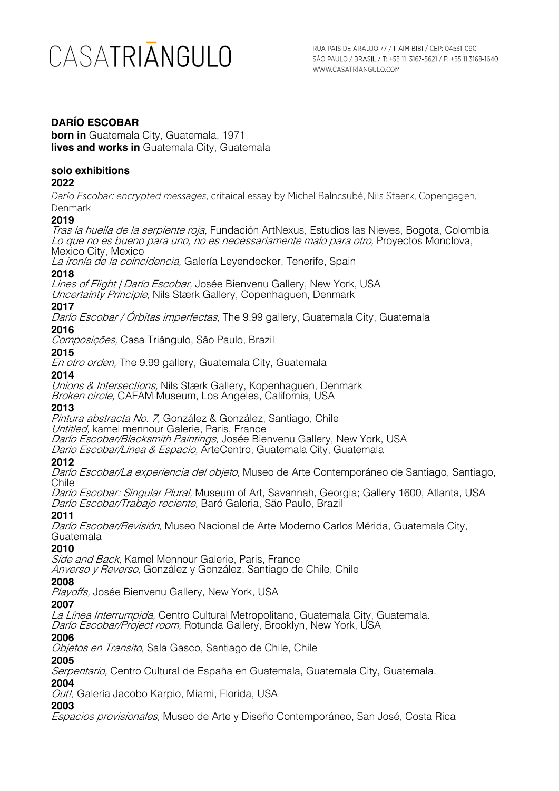# **DARÍO ESCOBAR**

**born in** Guatemala City, Guatemala, 1971 **lives and works in** Guatemala City, Guatemala

### **solo exhibitions**

#### **2022**

*Darío Escobar: encrypted messages*, critaical essay by Michel Balncsubé, Nils Staerk, Copengagen, Denmark

## **2019**

Tras la huella de la serpiente roja, Fundación ArtNexus, Estudios las Nieves, Bogota, Colombia Lo que no es bueno para uno, no es necessariamente malo para otro, Proyectos Monclova, Mexico City, Mexico

La ironía de la coincidencia, Galería Leyendecker, Tenerife, Spain

### **2018**

Lines of Flight | Darío Escobar, Josée Bienvenu Gallery, New York, USA Uncertainty Principle, Nils Stærk Gallery, Copenhaguen, Denmark

### **2017**

Darío Escobar / Órbitas imperfectas, The 9.99 gallery, Guatemala City, Guatemala

#### **2016**

Composições, Casa Triângulo, São Paulo, Brazil

#### **2015**

En otro orden, The 9.99 gallery, Guatemala City, Guatemala

#### **2014**

Unions & Intersections, Nils Stærk Gallery, Kopenhaguen, Denmark

Broken circle, CAFAM Museum, Los Angeles, California, USA

#### **2013**

Pintura abstracta No. 7, González & González, Santiago, Chile

Untitled, kamel mennour Galerie, Paris, France

Darío Escobar/Blacksmith Paintings, Josée Bienvenu Gallery, New York, USA

Darío Escobar/Línea & Espacio, ArteCentro, Guatemala City, Guatemala

### **2012**

Darío Escobar/La experiencia del objeto, Museo de Arte Contemporáneo de Santiago, Santiago, Chile

Darío Escobar: Singular Plural, Museum of Art, Savannah, Georgia; Gallery 1600, Atlanta, USA Darío Escobar/Trabajo reciente, Baró Galeria, São Paulo, Brazil

#### **2011**

Darío Escobar/Revisión, Museo Nacional de Arte Moderno Carlos Mérida, Guatemala City, Guatemala

### **2010**

Side and Back, Kamel Mennour Galerie, Paris, France

Anverso y Reverso, González y González, Santiago de Chile, Chile

### **2008**

Playoffs, Josée Bienvenu Gallery, New York, USA

### **2007**

La Línea Interrumpida, Centro Cultural Metropolitano, Guatemala City, Guatemala. Darío Escobar/Project room, Rotunda Gallery, Brooklyn, New York, USA

### **2006**

Objetos en Transito, Sala Gasco, Santiago de Chile, Chile

### **2005**

Serpentario, Centro Cultural de España en Guatemala, Guatemala City, Guatemala.

#### **2004**

Out!, Galería Jacobo Karpio, Miami, Florida, USA

# **2003**

Espacios provisionales, Museo de Arte y Diseño Contemporáneo, San José, Costa Rica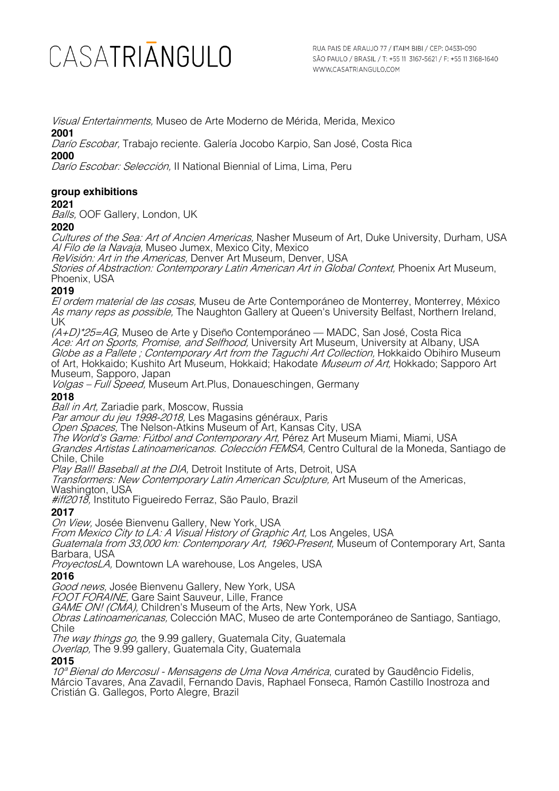Visual Entertainments, Museo de Arte Moderno de Mérida, Merida, Mexico **2001**

Darío Escobar, Trabajo reciente. Galería Jocobo Karpio, San José, Costa Rica

**2000**

Darío Escobar: Selección, II National Biennial of Lima, Lima, Peru

# **group exhibitions**

## **2021**

Balls, OOF Gallery, London, UK

### **2020**

Cultures of the Sea: Art of Ancien Americas, Nasher Museum of Art, Duke University, Durham, USA Al Filo de la Navaja, Museo Jumex, Mexico City, Mexico

ReVisión: Art in the Americas, Denver Art Museum, Denver, USA

Stories of Abstraction: Contemporary Latin American Art in Global Context, Phoenix Art Museum, Phoenix, USA

## **2019**

El ordem material de las cosas, Museu de Arte Contemporáneo de Monterrey, Monterrey, México As many reps as possible, The Naughton Gallery at Queen's University Belfast, Northern Ireland, UK

 $(A+D)^*25=AG$ , Museo de Arte y Diseño Contemporáneo — MADC, San José, Costa Rica Ace: Art on Sports, Promise, and Selfhood, University Art Museum, University at Albany, USA Globe as a Pallete; Contemporary Art from the Taguchi Art Collection, Hokkaido Obihiro Museum of Art, Hokkaido; Kushito Art Museum, Hokkaid; Hakodate *Museum of Art,* Hokkado; Sapporo Art Museum, Sapporo, Japan

Volgas – Full Speed, Museum Art.Plus, Donaueschingen, Germany

# **2018**

Ball in Art, Zariadie park, Moscow, Russia

*Par amour du jeu 1998-2018,* Les Magasins généraux, Paris

Open Spaces, The Nelson-Atkins Museum of Art, Kansas City, USA

The World's Game: Futbol and Contemporary Art, Pérez Art Museum Miami, Miami, USA Grandes Artistas Latinoamericanos. Colección FEMSA, Centro Cultural de la Moneda, Santiago de Chile, Chile

Play Ball! Baseball at the DIA, Detroit Institute of Arts, Detroit, USA

Transformers: New Contemporary Latin American Sculpture, Art Museum of the Americas, Washington, USA

*#iff2018*, Instituto Figueiredo Ferraz, São Paulo, Brazil

**2017**

On View, Josée Bienvenu Gallery, New York, USA

From Mexico City to LA: A Visual History of Graphic Art, Los Angeles, USA

Guatemala from 33,000 km: Contemporary Art, 1960-Present, Museum of Contemporary Art, Santa Barbara, USA

ProyectosLA, Downtown LA warehouse, Los Angeles, USA

# **2016**

Good news, Josée Bienvenu Gallery, New York, USA

FOOT FORAINE, Gare Saint Sauveur, Lille, France

GAME ON! (CMA), Children's Museum of the Arts, New York, USA

Obras Latinoamericanas, Colección MAC, Museo de arte Contemporáneo de Santiago, Santiago, **Chile** 

The way things go, the 9.99 gallery, Guatemala City, Guatemala

Overlap, The 9.99 gallery, Guatemala City, Guatemala

### **2015**

10<sup>ª</sup> Bienal do Mercosul - Mensagens de Uma Nova América, curated by Gaudêncio Fidelis, Márcio Tavares, Ana Zavadil, Fernando Davis, Raphael Fonseca, Ramón Castillo Inostroza and Cristián G. Gallegos, Porto Alegre, Brazil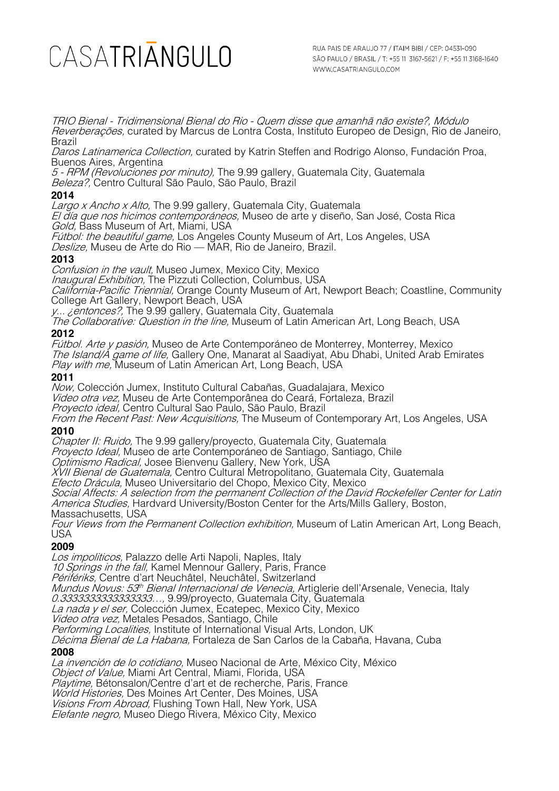TRIO Bienal - Tridimensional Bienal do Rio - Quem disse que amanhã não existe?, Módulo Reverberações, curated by Marcus de Lontra Costa, Instituto Europeo de Design, Rio de Janeiro, Brazil

Daros Latinamerica Collection, curated by Katrin Steffen and Rodrigo Alonso, Fundación Proa, Buenos Aires, Argentina

5 - RPM (Revoluciones por minuto), The 9.99 gallery, Guatemala City, Guatemala Beleza?, Centro Cultural São Paulo, São Paulo, Brazil

### **2014**

Largo x Ancho x Alto, The 9.99 gallery, Guatemala City, Guatemala

El día que nos hicimos contemporáneos, Museo de arte y diseño, San José, Costa Rica Gold, Bass Museum of Art, Miami, USA

Fútbol: the beautiful game, Los Angeles County Museum of Art, Los Angeles, USA

Deslize, Museu de Arte do Rio — MAR, Rio de Janeiro, Brazil.

#### **2013**

Confusion in the vault, Museo Jumex, Mexico City, Mexico Inaugural Exhibition, The Pizzuti Collection, Columbus, USA California-Pacific Triennial, Orange County Museum of Art, Newport Beach; Coastline, Community College Art Gallery, Newport Beach, USA

y... *¿entonces?*, The 9.99 gallery, Guatemala City, Guatemala

The Collaborative: Question in the line, Museum of Latin American Art, Long Beach, USA

### **2012**

Fútbol. Arte y pasión, Museo de Arte Contemporáneo de Monterrey, Monterrey, Mexico The Island/A game of life, Gallery One, Manarat al Saadiyat, Abu Dhabi, United Arab Emirates Play with me, Museum of Latin American Art, Long Beach, USA

#### **2011**

Now, Colección Jumex, Instituto Cultural Cabañas, Guadalajara, Mexico Video otra vez, Museu de Arte Contemporânea do Ceará, Fortaleza, Brazil Proyecto ideal, Centro Cultural Sao Paulo, São Paulo, Brazil From the Recent Past: New Acquisitions, The Museum of Contemporary Art, Los Angeles, USA

### **2010**

Chapter II: Ruido, The 9.99 gallery/proyecto, Guatemala City, Guatemala

Proyecto Ideal, Museo de arte Contemporáneo de Santiago, Santiago, Chile

Optimismo Radical, Josee Bienvenu Gallery, New York, USA

XVII Bienal de Guatemala, Centro Cultural Metropolitano, Guatemala City, Guatemala

Efecto Drácula, Museo Universitario del Chopo, Mexico City, Mexico

Social Affects: A selection from the permanent Collection of the David Rockefeller Center for Latin America Studies, Hardvard University/Boston Center for the Arts/Mills Gallery, Boston, Massachusetts, USA

Four Views from the Permanent Collection exhibition, Museum of Latin American Art, Long Beach, USA

# **2009**

Los impoliticos, Palazzo delle Arti Napoli, Naples, Italy 10 Springs in the fall, Kamel Mennour Gallery, Paris, France Périfériks, Centre d'art Neuchâtel, Neuchâtel, Switzerland Mundus Novus: 53<sup>th</sup> Bienal Internacional de Venecia, Artiglerie dell'Arsenale, Venecia, Italy 0.3333333333333333…, 9.99/proyecto, Guatemala City, Guatemala La nada y el ser, Colección Jumex, Ecatepec, Mexico City, Mexico Video otra vez, Metales Pesados, Santiago, Chile Performing Localities, Institute of International Visual Arts, London, UK *Décima Bienal de La Habana*, Fortaleza de San Carlos de la Cabaña, Havana, Cuba **2008** La invención de lo cotidiano, Museo Nacional de Arte, México City, México Object of Value, Miami Art Central, Miami, Florida, USA Playtime, Bétonsalon/Centre d'art et de recherche, Paris, France

World Histories, Des Moines Art Center, Des Moines, USA Visions From Abroad, Flushing Town Hall, New York, USA

Elefante negro, Museo Diego Rivera, México City, Mexico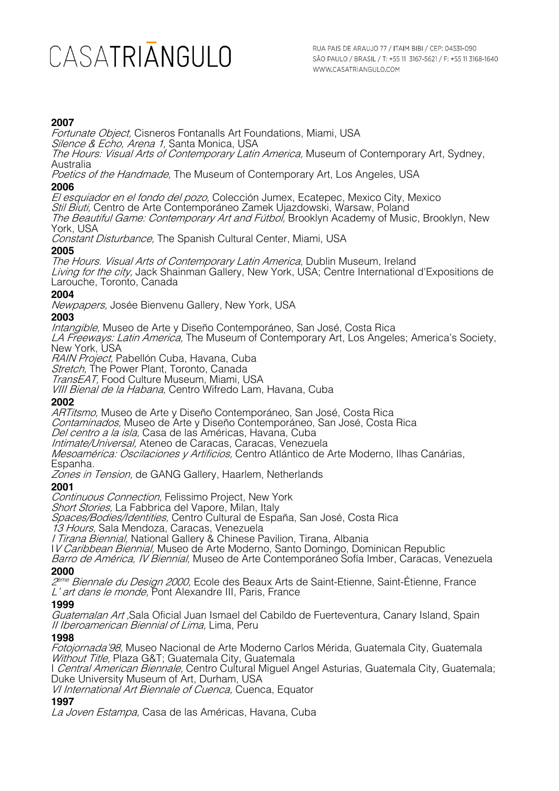### **2007**

Fortunate Object, Cisneros Fontanalls Art Foundations, Miami, USA Silence & Echo, Arena 1, Santa Monica, USA The Hours: Visual Arts of Contemporary Latin America, Museum of Contemporary Art, Sydney, Australia Poetics of the Handmade, The Museum of Contemporary Art, Los Angeles, USA **2006** El esquiador en el fondo del pozo, Colección Jumex, Ecatepec, Mexico City, Mexico Stil Biuti, Centro de Arte Contemporáneo Zamek Ujazdowski, Warsaw, Poland The Beautiful Game: Contemporary Art and Fútbol, Brooklyn Academy of Music, Brooklyn, New York, USA Constant Disturbance, The Spanish Cultural Center, Miami, USA **2005** The Hours. Visual Arts of Contemporary Latin America, Dublin Museum, Ireland Living for the city, Jack Shainman Gallery, New York, USA; Centre International d'Expositions de Larouche, Toronto, Canada **2004** Newpapers, Josée Bienvenu Gallery, New York, USA **2003** Intangible, Museo de Arte y Diseño Contemporáneo, San José, Costa Rica LA Freeways: Latin America, The Museum of Contemporary Art, Los Angeles; America's Society, New York, USA RAIN Project, Pabellón Cuba, Havana, Cuba Stretch, The Power Plant, Toronto, Canada TransEAT, Food Culture Museum, Miami, USA VIII Bienal de la Habana, Centro Wifredo Lam, Havana, Cuba **2002** ARTitsmo, Museo de Arte y Diseño Contemporáneo, San José, Costa Rica Contaminados, Museo de Arte y Diseño Contemporáneo, San José, Costa Rica Del centro a la isla, Casa de las Américas, Havana, Cuba Intimate/Universal, Ateneo de Caracas, Caracas, Venezuela Mesoamérica: Oscilaciones y Artificios, Centro Atlántico de Arte Moderno, Ilhas Canárias, Espanha. Zones in Tension, de GANG Gallery, Haarlem, Netherlands **2001** Continuous Connection, Felissimo Project, New York Short Stories, La Fabbrica del Vapore, Milan, Italy

Spaces/Bodies/Identities, Centro Cultural de España, San José, Costa Rica

13 Hours, Sala Mendoza, Caracas, Venezuela

I Tirana Biennial, National Gallery & Chinese Pavilion, Tirana, Albania

IV Caribbean Biennial, Museo de Arte Moderno, Santo Domingo, Dominican Republic

Barro de América, IV Biennial, Museo de Arte Contemporáneo Sofía Imber, Caracas, Venezuela **2000**

 $2^{i}$ <sup>me</sup> Biennale du Design 2000, Ecole des Beaux Arts de Saint-Etienne, Saint-Étienne, France L' art dans le monde, Pont Alexandre III, Paris, France

#### **1999**

Guatemalan Art ,Sala Oficial Juan Ismael del Cabildo de Fuerteventura, Canary Island, Spain II Iberoamerican Biennial of Lima, Lima, Peru

#### **1998**

Fotojornada'98, Museo Nacional de Arte Moderno Carlos Mérida, Guatemala City, Guatemala Without Title, Plaza G&T; Guatemala City, Guatemala

I *Central American Biennale,* Centro Cultural Miguel Angel Asturias, Guatemala City, Guatemala; Duke University Museum of Art, Durham, USA

VI International Art Biennale of Cuenca, Cuenca, Equator

#### **1997**

La Joven Estampa, Casa de las Américas, Havana, Cuba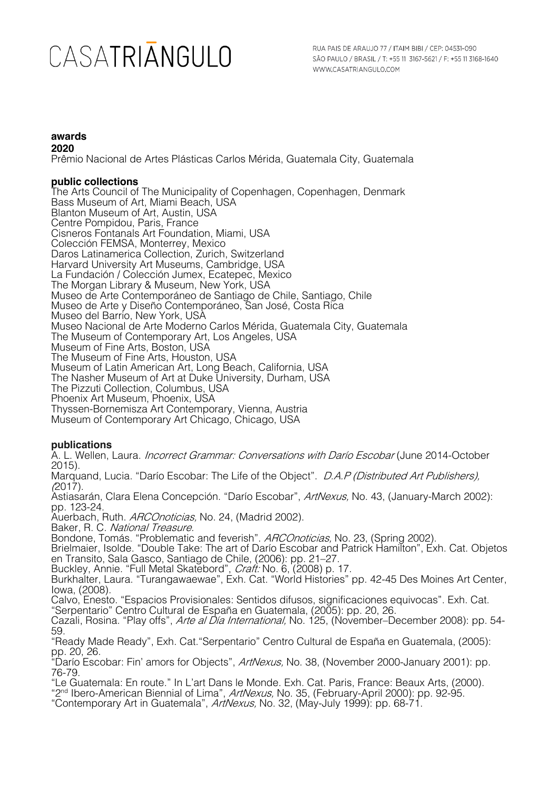#### **awards 2020**

Prêmio Nacional de Artes Plásticas Carlos Mérida, Guatemala City, Guatemala

#### **public collections**

The Arts Council of The Municipality of Copenhagen, Copenhagen, Denmark Bass Museum of Art, Miami Beach, USA Blanton Museum of Art, Austin, USA Centre Pompidou, Paris, France Cisneros Fontanals Art Foundation, Miami, USA Colección FEMSA, Monterrey, Mexico Daros Latinamerica Collection, Zurich, Switzerland Harvard University Art Museums, Cambridge, USA La Fundación / Colección Jumex, Ecatepec, Mexico The Morgan Library & Museum, New York, USA Museo de Arte Contemporáneo de Santiago de Chile, Santiago, Chile Museo de Arte y Diseño Contemporáneo, San José, Costa Rica Museo del Barrio, New York, USA Museo Nacional de Arte Moderno Carlos Mérida, Guatemala City, Guatemala The Museum of Contemporary Art, Los Angeles, USA Museum of Fine Arts, Boston, USA The Museum of Fine Arts, Houston, USA Museum of Latin American Art, Long Beach, California, USA The Nasher Museum of Art at Duke University, Durham, USA The Pizzuti Collection, Columbus, USA Phoenix Art Museum, Phoenix, USA Thyssen-Bornemisza Art Contemporary, Vienna, Austria Museum of Contemporary Art Chicago, Chicago, USA

### **publications**

A. L. Wellen, Laura. *Incorrect Grammar: Conversations with Darío Escobar* (June 2014-October 2015).

Marquand, Lucia. "Darío Escobar: The Life of the Object". D.A.P (Distributed Art Publishers), (2017).

Astiasarán, Clara Elena Concepción. "Darío Escobar", ArtNexus, No. 43, (January-March 2002): pp. 123-24.

Auerbach, Ruth. ARCOnoticias, No. 24, (Madrid 2002).

Baker, R. C. National Treasure.

Bondone, Tomás. "Problematic and feverish". *ARCOnoticias,* No. 23, (Spring 2002).

Brielmaier, Isolde. "Double Take: The art of Darío Escobar and Patrick Hamilton", Exh. Cat. Objetos en Transito, Sala Gasco, Santiago de Chile, (2006): pp. 21–27.

Buckley, Annie. "Full Metal Skatebord", *Craft:* No. 6, (2008) p. 17.

Burkhalter, Laura. "Turangawaewae", Exh. Cat. "World Histories" pp. 42-45 Des Moines Art Center, Iowa, (2008).

Calvo, Enesto. "Espacios Provisionales: Sentidos difusos, significaciones equivocas". Exh. Cat. "Serpentario" Centro Cultural de España en Guatemala, (2005): pp. 20, 26.

Cazali, Rosina. "Play offs", Arte al Día International, No. 125, (November–December 2008): pp. 54-59.

"Ready Made Ready", Exh. Cat."Serpentario" Centro Cultural de España en Guatemala, (2005): pp. 20, 26.

"Darío Escobar: Fin' amors for Objects", ArtNexus, No. 38, (November 2000-January 2001): pp. 76-79.

"Le Guatemala: En route." In L'art Dans le Monde. Exh. Cat. Paris, France: Beaux Arts, (2000).

"2<sup>nd</sup> Ibero-American Biennial of Lima", ArtNexus, No. 35, (February-April 2000): pp. 92-95.

"Contemporary Art in Guatemala", ArtNexus, No. 32, (May-July 1999): pp. 68-71.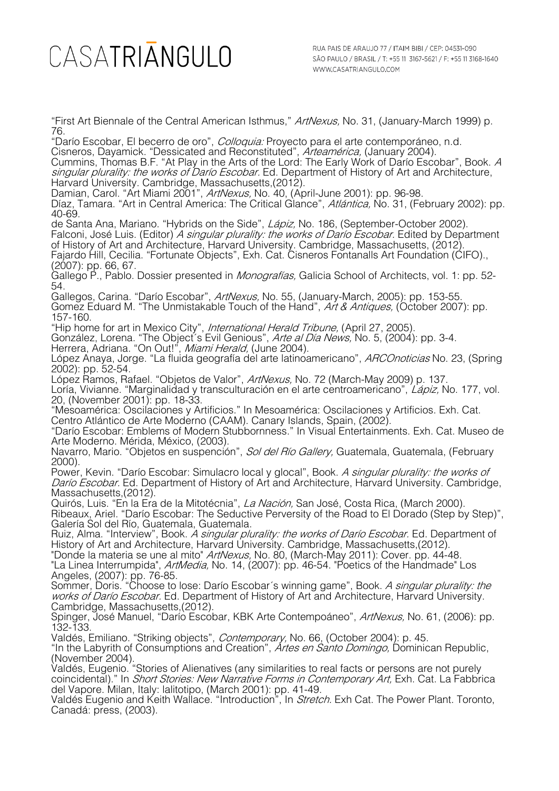"First Art Biennale of the Central American Isthmus," ArtNexus, No. 31, (January-March 1999) p. 76.

"Darío Escobar, El becerro de oro", *Colloquia:* Proyecto para el arte contemporáneo, n.d.

Cisneros, Dayamick. "Dessicated and Reconstituted", *Arteamérica,* (January 2004). Cummins, Thomas B.F. "At Play in the Arts of the Lord: The Early Work of Darío Escobar", Book. A singular plurality: the works of Darío Escobar. Ed. Department of History of Art and Architecture, Harvard University. Cambridge, Massachusetts,(2012).

Damian, Carol. "Art Miami 2001", *ArtNexus,* No. 40, (April-June 2001): pp. 96-98. Díaz, Tamara. "Art in Central America: The Critical Glance", *Atlántica,* No. 31, (February 2002): pp. 40-69.

de Santa Ana, Mariano. "Hybrids on the Side", *Lápiz*, No. 186, (September-October 2002). Falconi, José Luis. (Editor) A singular plurality: the works of Darío Escobar. Edited by Department of History of Art and Architecture, Harvard University. Cambridge, Massachusetts, (2012). Fajardo Hill, Cecilia. "Fortunate Objects", Exh. Cat. Cisneros Fontanalls Art Foundation (CIFO)., (2007): pp. 66, 67.

Gallego P., Pablo. Dossier presented in *Monografías,* Galicia School of Architects, vol. 1: pp. 52-<br>54.

Gallegos, Carina. "Darío Escobar", ArtNexus, No. 55, (January-March, 2005): pp. 153-55.

Gomez Eduard M. "The Unmistakable Touch of the Hand", Art & Antiques, (October 2007): pp. 157-160.

"Hip home for art in Mexico City", *International Herald Tribune,* (April 27, 2005).

González, Lorena. "The Object´s Evil Genious", *Arte al Día News,* No. 5, (2004): pp. 3-4. Herrera, Adriana. "On Out!", *Miami Herald,* (June 2004).

López Anaya, Jorge. "La fluida geografía del arte latinoamericano", *ARCOnoticias* No. 23, (Spring 2002): pp. 52-54.

López Ramos, Rafael. "Objetos de Valor", ArtNexus, No. 72 (March-May 2009) p. 137.

Loría, Vivianne. "Marginalidad y transculturación en el arte centroamericano", *Lápiz,* No. 177, vol. 20, (November 2001): pp. 18-33.

"Mesoamérica: Oscilaciones y Artificios." In Mesoamérica: Oscilaciones y Artificios. Exh. Cat. Centro Atlántico de Arte Moderno (CAAM). Canary Islands, Spain, (2002).

"Darío Escobar: Emblems of Modern Stubbornness." In Visual Entertainments. Exh. Cat. Museo de Arte Moderno. Mérida, México, (2003).

Navarro, Mario. "Objetos en suspención", Sol del Río Gallery, Guatemala, Guatemala, (February 2000).

Power, Kevin. "Darío Escobar: Simulacro local y glocal", Book. A singular plurality: the works of Darío Escobar. Ed. Department of History of Art and Architecture, Harvard University. Cambridge, Massachusetts,(2012).

Quirós, Luis. "En la Era de la Mitotécnia", La Nación, San José, Costa Rica, (March 2000). Ribeaux, Ariel. "Darío Escobar: The Seductive Perversity of the Road to El Dorado (Step by Step)", Galería Sol del Río, Guatemala, Guatemala.

Ruiz, Alma. "Interview", Book. *A singular plurality: the works of Darío Escobar.* Ed. Department of History of Art and Architecture, Harvard University. Cambridge, Massachusetts,(2012).

"Donde la materia se une al mito" ArtNexus, No. 80, (March-May 2011): Cover. pp. 44-48. "La Linea Interrumpida", ArtMedia, No. 14, (2007): pp. 46-54. "Poetics of the Handmade" Los Angeles, (2007): pp. 76-85.

Sommer, Doris. "Choose to lose: Darío Escobar´s winning game", Book. *A singular plurality: the* works of Darío Escobar. Ed. Department of History of Art and Architecture, Harvard University. Cambridge, Massachusetts,(2012).

Spinger, José Manuel, "Darío Escobar, KBK Arte Contempoáneo", ArtNexus, No. 61, (2006): pp. 132-133.

Valdés, Emiliano. "Striking objects", *Contemporary,* No. 66, (October 2004): p. 45.

"In the Labyrith of Consumptions and Creation", Artes en Santo Domingo, Dominican Republic, (November 2004).

Valdés, Eugenio. "Stories of Alienatives (any similarities to real facts or persons are not purely coincidental)." In *Short Stories: New Narrative Forms in Contemporary Art*, Exh. Cat. La Fabbrica del Vapore. Milan, Italy: lalitotipo, (March 2001): pp. 41-49.

Valdés Eugenio and Keith Wallace. "Introduction", In Stretch. Exh Cat. The Power Plant. Toronto, Canadá: press, (2003).